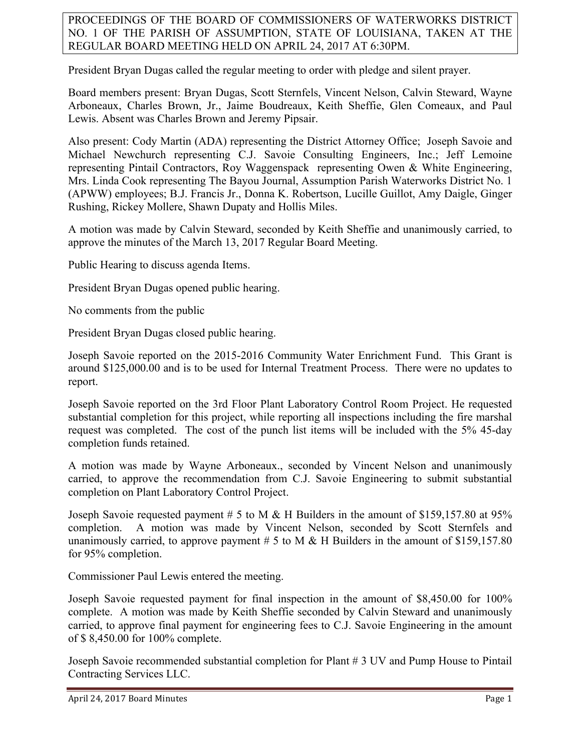PROCEEDINGS OF THE BOARD OF COMMISSIONERS OF WATERWORKS DISTRICT NO. 1 OF THE PARISH OF ASSUMPTION, STATE OF LOUISIANA, TAKEN AT THE REGULAR BOARD MEETING HELD ON APRIL 24, 2017 AT 6:30PM.

President Bryan Dugas called the regular meeting to order with pledge and silent prayer.

Board members present: Bryan Dugas, Scott Sternfels, Vincent Nelson, Calvin Steward, Wayne Arboneaux, Charles Brown, Jr., Jaime Boudreaux, Keith Sheffie, Glen Comeaux, and Paul Lewis. Absent was Charles Brown and Jeremy Pipsair.

Also present: Cody Martin (ADA) representing the District Attorney Office; Joseph Savoie and Michael Newchurch representing C.J. Savoie Consulting Engineers, Inc.; Jeff Lemoine representing Pintail Contractors, Roy Waggenspack representing Owen & White Engineering, Mrs. Linda Cook representing The Bayou Journal, Assumption Parish Waterworks District No. 1 (APWW) employees; B.J. Francis Jr., Donna K. Robertson, Lucille Guillot, Amy Daigle, Ginger Rushing, Rickey Mollere, Shawn Dupaty and Hollis Miles.

A motion was made by Calvin Steward, seconded by Keith Sheffie and unanimously carried, to approve the minutes of the March 13, 2017 Regular Board Meeting.

Public Hearing to discuss agenda Items.

President Bryan Dugas opened public hearing.

No comments from the public

President Bryan Dugas closed public hearing.

Joseph Savoie reported on the 2015-2016 Community Water Enrichment Fund. This Grant is around \$125,000.00 and is to be used for Internal Treatment Process. There were no updates to report.

Joseph Savoie reported on the 3rd Floor Plant Laboratory Control Room Project. He requested substantial completion for this project, while reporting all inspections including the fire marshal request was completed. The cost of the punch list items will be included with the 5% 45-day completion funds retained.

A motion was made by Wayne Arboneaux., seconded by Vincent Nelson and unanimously carried, to approve the recommendation from C.J. Savoie Engineering to submit substantial completion on Plant Laboratory Control Project.

Joseph Savoie requested payment # 5 to M & H Builders in the amount of \$159,157.80 at  $95\%$ completion. A motion was made by Vincent Nelson, seconded by Scott Sternfels and unanimously carried, to approve payment # 5 to M  $\&$  H Builders in the amount of \$159,157.80 for 95% completion.

Commissioner Paul Lewis entered the meeting.

Joseph Savoie requested payment for final inspection in the amount of \$8,450.00 for 100% complete. A motion was made by Keith Sheffie seconded by Calvin Steward and unanimously carried, to approve final payment for engineering fees to C.J. Savoie Engineering in the amount of \$ 8,450.00 for 100% complete.

Joseph Savoie recommended substantial completion for Plant # 3 UV and Pump House to Pintail Contracting Services LLC.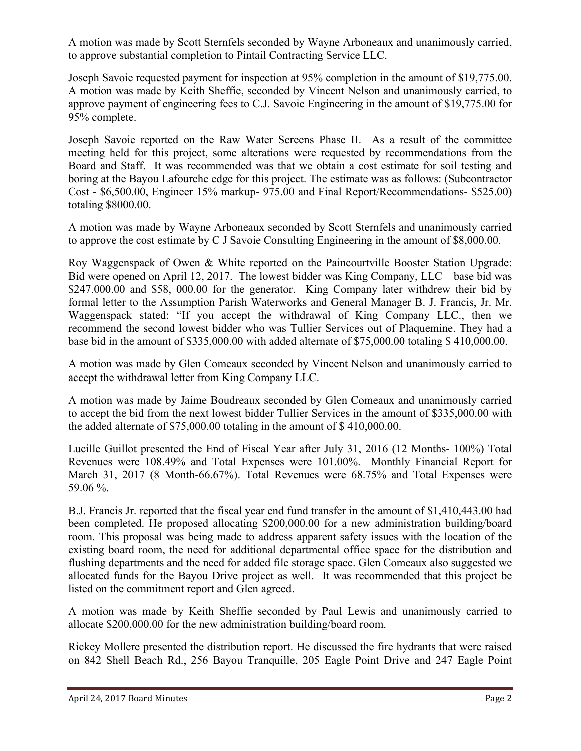A motion was made by Scott Sternfels seconded by Wayne Arboneaux and unanimously carried, to approve substantial completion to Pintail Contracting Service LLC.

Joseph Savoie requested payment for inspection at 95% completion in the amount of \$19,775.00. A motion was made by Keith Sheffie, seconded by Vincent Nelson and unanimously carried, to approve payment of engineering fees to C.J. Savoie Engineering in the amount of \$19,775.00 for 95% complete.

Joseph Savoie reported on the Raw Water Screens Phase II. As a result of the committee meeting held for this project, some alterations were requested by recommendations from the Board and Staff. It was recommended was that we obtain a cost estimate for soil testing and boring at the Bayou Lafourche edge for this project. The estimate was as follows: (Subcontractor Cost - \$6,500.00, Engineer 15% markup- 975.00 and Final Report/Recommendations- \$525.00) totaling \$8000.00.

A motion was made by Wayne Arboneaux seconded by Scott Sternfels and unanimously carried to approve the cost estimate by C J Savoie Consulting Engineering in the amount of \$8,000.00.

Roy Waggenspack of Owen & White reported on the Paincourtville Booster Station Upgrade: Bid were opened on April 12, 2017. The lowest bidder was King Company, LLC—base bid was \$247,000.00 and \$58,000.00 for the generator. King Company later withdrew their bid by formal letter to the Assumption Parish Waterworks and General Manager B. J. Francis, Jr. Mr. Waggenspack stated: "If you accept the withdrawal of King Company LLC., then we recommend the second lowest bidder who was Tullier Services out of Plaquemine. They had a base bid in the amount of \$335,000.00 with added alternate of \$75,000.00 totaling \$ 410,000.00.

A motion was made by Glen Comeaux seconded by Vincent Nelson and unanimously carried to accept the withdrawal letter from King Company LLC.

A motion was made by Jaime Boudreaux seconded by Glen Comeaux and unanimously carried to accept the bid from the next lowest bidder Tullier Services in the amount of \$335,000.00 with the added alternate of \$75,000.00 totaling in the amount of \$ 410,000.00.

Lucille Guillot presented the End of Fiscal Year after July 31, 2016 (12 Months- 100%) Total Revenues were 108.49% and Total Expenses were 101.00%. Monthly Financial Report for March 31, 2017 (8 Month-66.67%). Total Revenues were 68.75% and Total Expenses were 59.06 %.

B.J. Francis Jr. reported that the fiscal year end fund transfer in the amount of \$1,410,443.00 had been completed. He proposed allocating \$200,000.00 for a new administration building/board room. This proposal was being made to address apparent safety issues with the location of the existing board room, the need for additional departmental office space for the distribution and flushing departments and the need for added file storage space. Glen Comeaux also suggested we allocated funds for the Bayou Drive project as well. It was recommended that this project be listed on the commitment report and Glen agreed.

A motion was made by Keith Sheffie seconded by Paul Lewis and unanimously carried to allocate \$200,000.00 for the new administration building/board room.

Rickey Mollere presented the distribution report. He discussed the fire hydrants that were raised on 842 Shell Beach Rd., 256 Bayou Tranquille, 205 Eagle Point Drive and 247 Eagle Point